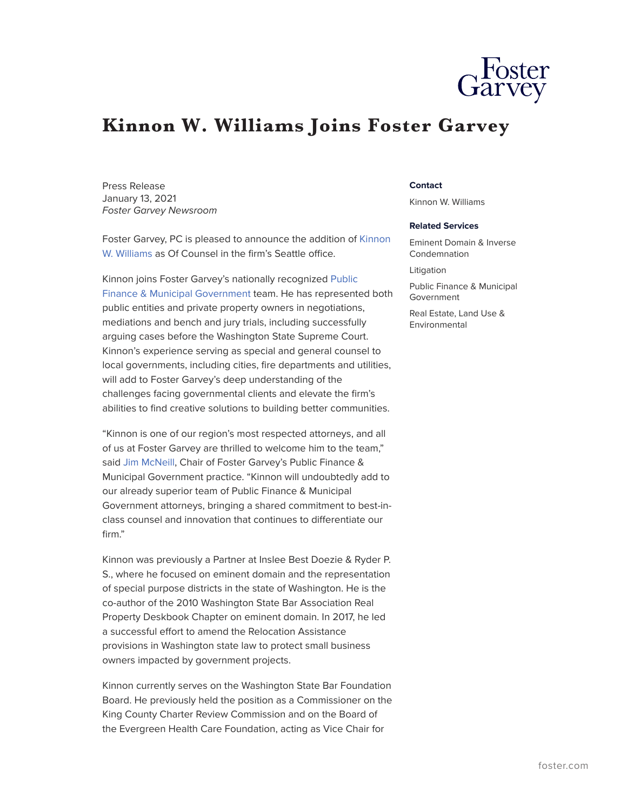## **Kinnon W. Williams Joins Foster Garvey**

Press Release January 13, 2021 *Foster Garvey Newsroom*

Foster Garvey, PC is pleased to announce the addition of [Kinnon](https://www.foster.com/people-kinnon-williams) [W. Williams](https://www.foster.com/people-kinnon-williams) as Of Counsel in the firm's Seattle office.

Kinnon joins Foster Garvey's nationally recognized [Public](https://www.foster.com/services-practices-public-finance-municipal-government) [Finance & Municipal Government](https://www.foster.com/services-practices-public-finance-municipal-government) team. He has represented both public entities and private property owners in negotiations, mediations and bench and jury trials, including successfully arguing cases before the Washington State Supreme Court. Kinnon's experience serving as special and general counsel to local governments, including cities, fire departments and utilities, will add to Foster Garvey's deep understanding of the challenges facing governmental clients and elevate the firm's abilities to find creative solutions to building better communities.

"Kinnon is one of our region's most respected attorneys, and all of us at Foster Garvey are thrilled to welcome him to the team," said [Jim McNeill,](https://www.foster.com/people-jim-mcneill) Chair of Foster Garvey's Public Finance & Municipal Government practice. "Kinnon will undoubtedly add to our already superior team of Public Finance & Municipal Government attorneys, bringing a shared commitment to best-inclass counsel and innovation that continues to differentiate our firm."

Kinnon was previously a Partner at Inslee Best Doezie & Ryder P. S., where he focused on eminent domain and the representation of special purpose districts in the state of Washington. He is the co-author of the 2010 Washington State Bar Association Real Property Deskbook Chapter on eminent domain. In 2017, he led a successful effort to amend the Relocation Assistance provisions in Washington state law to protect small business owners impacted by government projects.

Kinnon currently serves on the Washington State Bar Foundation Board. He previously held the position as a Commissioner on the King County Charter Review Commission and on the Board of the Evergreen Health Care Foundation, acting as Vice Chair for

## **Contact**

Kinnon W. Williams

## **Related Services**

Eminent Domain & Inverse Condemnation

Litigation

Public Finance & Municipal Government

Real Estate, Land Use & Environmental